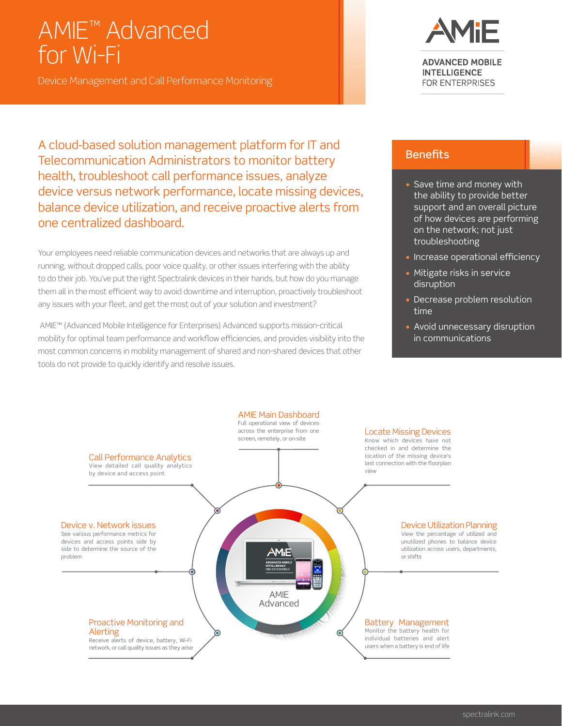# AMIE™ Advanced for Wi-Fi

Device Management and Call Performance Monitoring

A cloud-based solution management platform for IT and Telecommunication Administrators to monitor battery health, troubleshoot call performance issues, analyze device versus network performance, locate missing devices, balance device utilization, and receive proactive alerts from one centralized dashboard.

Your employees need reliable communication devices and networks that are always up and running, without dropped calls, poor voice quality, or other issues interfering with the ability to do their job. You've put the right Spectralink devices in their hands, but how do you manage them all in the most efficient way to avoid downtime and interruption, proactively troubleshoot any issues with your fleet, and get the most out of your solution and investment?

 AMIE™ (Advanced Mobile Intelligence for Enterprises) Advanced supports mission-critical mobility for optimal team performance and workflow efficiencies, and provides visibility into the most common concerns in mobility management of shared and non-shared devices that other tools do not provide to quickly identify and resolve issues.



**ADVANCED MOBILE INTELLIGENCE** FOR ENTERPRISES

#### **Benefits**

- Save time and money with the ability to provide better support and an overall picture of how devices are performing on the network; not just troubleshooting
- Increase operational efficiency
- Mitigate risks in service disruption
- Decrease problem resolution time
- Avoid unnecessary disruption in communications

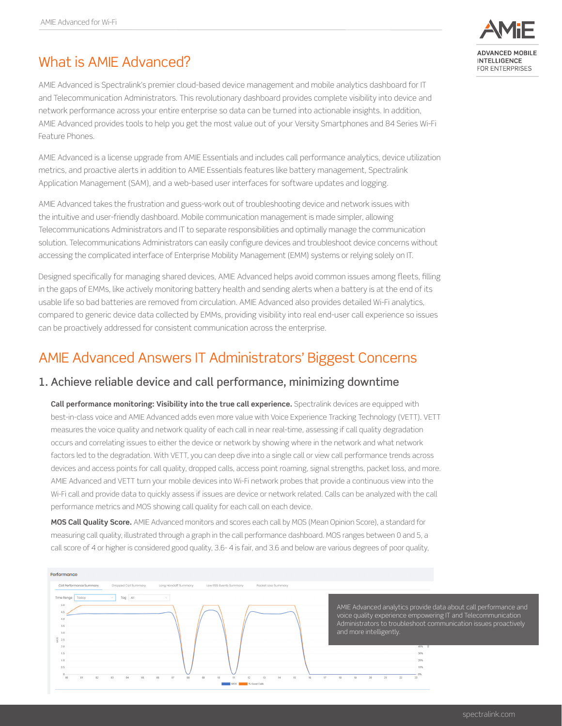# What is AMIF Advanced?

AMIE Advanced is Spectralink's premier cloud-based device management and mobile analytics dashboard for IT and Telecommunication Administrators. This revolutionary dashboard provides complete visibility into device and network performance across your entire enterprise so data can be turned into actionable insights. In addition, AMIE Advanced provides tools to help you get the most value out of your Versity Smartphones and 84 Series Wi-Fi Feature Phones.

AMIE Advanced is a license upgrade from AMIE Essentials and includes call performance analytics, device utilization metrics, and proactive alerts in addition to AMIE Essentials features like battery management, Spectralink Application Management (SAM), and a web-based user interfaces for software updates and logging.

AMIE Advanced takes the frustration and guess-work out of troubleshooting device and network issues with the intuitive and user-friendly dashboard. Mobile communication management is made simpler, allowing Telecommunications Administrators and IT to separate responsibilities and optimally manage the communication solution. Telecommunications Administrators can easily configure devices and troubleshoot device concerns without accessing the complicated interface of Enterprise Mobility Management (EMM) systems or relying solely on IT.

Designed specifically for managing shared devices, AMIE Advanced helps avoid common issues among fleets, filling in the gaps of EMMs, like actively monitoring battery health and sending alerts when a battery is at the end of its usable life so bad batteries are removed from circulation. AMIE Advanced also provides detailed Wi-Fi analytics, compared to generic device data collected by EMMs, providing visibility into real end-user call experience so issues can be proactively addressed for consistent communication across the enterprise.

## AMIE Advanced Answers IT Administrators' Biggest Concerns

#### 1. Achieve reliable device and call performance, minimizing downtime

**Call performance monitoring: Visibility into the true call experience.** Spectralink devices are equipped with best-in-class voice and AMIE Advanced adds even more value with Voice Experience Tracking Technology (VETT). VETT measures the voice quality and network quality of each call in near real-time, assessing if call quality degradation occurs and correlating issues to either the device or network by showing where in the network and what network factors led to the degradation. With VETT, you can deep dive into a single call or view call performance trends across devices and access points for call quality, dropped calls, access point roaming, signal strengths, packet loss, and more. AMIE Advanced and VETT turn your mobile devices into Wi-Fi network probes that provide a continuous view into the Wi-Fi call and provide data to quickly assess if issues are device or network related. Calls can be analyzed with the call performance metrics and MOS showing call quality for each call on each device.

**MOS Call Quality Score.** AMIE Advanced monitors and scores each call by MOS (Mean Opinion Score), a standard for measuring call quality, illustrated through a graph in the call performance dashboard. MOS ranges between 0 and 5, a call score of 4 or higher is considered good quality, 3.6- 4 is fair, and 3.6 and below are various degrees of poor quality,



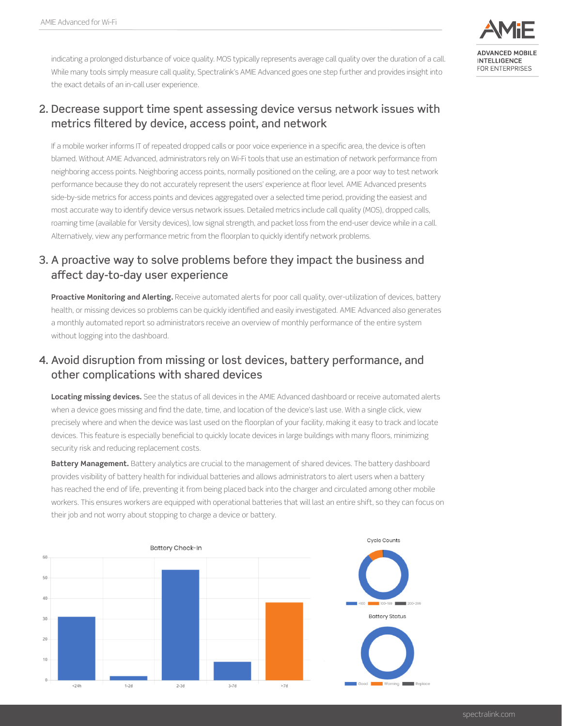

indicating a prolonged disturbance of voice quality. MOS typically represents average call quality over the duration of a call. While many tools simply measure call quality, Spectralink's AMIE Advanced goes one step further and provides insight into the exact details of an in-call user experience.

#### 2. Decrease support time spent assessing device versus network issues with metrics filtered by device, access point, and network

If a mobile worker informs IT of repeated dropped calls or poor voice experience in a specific area, the device is often blamed. Without AMIE Advanced, administrators rely on Wi-Fi tools that use an estimation of network performance from neighboring access points. Neighboring access points, normally positioned on the ceiling, are a poor way to test network performance because they do not accurately represent the users' experience at floor level. AMIE Advanced presents side-by-side metrics for access points and devices aggregated over a selected time period, providing the easiest and most accurate way to identify device versus network issues. Detailed metrics include call quality (MOS), dropped calls, roaming time (available for Versity devices), low signal strength, and packet loss from the end-user device while in a call. Alternatively, view any performance metric from the floorplan to quickly identify network problems.

#### 3. A proactive way to solve problems before they impact the business and affect day-to-day user experience

**Proactive Monitoring and Alerting.** Receive automated alerts for poor call quality, over-utilization of devices, battery health, or missing devices so problems can be quickly identified and easily investigated. AMIE Advanced also generates a monthly automated report so administrators receive an overview of monthly performance of the entire system without logging into the dashboard.

#### 4. Avoid disruption from missing or lost devices, battery performance, and other complications with shared devices

**Locating missing devices.** See the status of all devices in the AMIE Advanced dashboard or receive automated alerts when a device goes missing and find the date, time, and location of the device's last use. With a single click, view precisely where and when the device was last used on the floorplan of your facility, making it easy to track and locate devices. This feature is especially beneficial to quickly locate devices in large buildings with many floors, minimizing security risk and reducing replacement costs.

**Battery Management.** Battery analytics are crucial to the management of shared devices. The battery dashboard provides visibility of battery health for individual batteries and allows administrators to alert users when a battery has reached the end of life, preventing it from being placed back into the charger and circulated among other mobile workers. This ensures workers are equipped with operational batteries that will last an entire shift, so they can focus on their job and not worry about stopping to charge a device or battery.



spectralink.com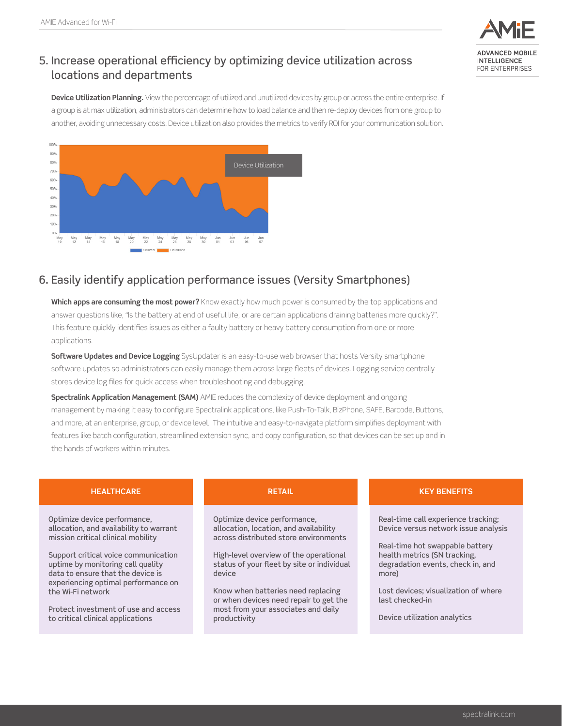

**Device Utilization Planning.** View the percentage of utilized and unutilized devices by group or across the entire enterprise. If a group is at max utilization, administrators can determine how to load balance and then re-deploy devices from one group to another, avoiding unnecessary costs. Device utilization also provides the metrics to verify ROI for your communication solution.



#### 6. Easily identify application performance issues (Versity Smartphones)

**Which apps are consuming the most power?** Know exactly how much power is consumed by the top applications and answer questions like, "Is the battery at end of useful life, or are certain applications draining batteries more quickly?". This feature quickly identifies issues as either a faulty battery or heavy battery consumption from one or more applications.

**Software Updates and Device Logging** SysUpdater is an easy-to-use web browser that hosts Versity smartphone software updates so administrators can easily manage them across large fleets of devices. Logging service centrally stores device log files for quick access when troubleshooting and debugging.

**Spectralink Application Management (SAM)** AMIE reduces the complexity of device deployment and ongoing management by making it easy to configure Spectralink applications, like Push-To-Talk, BizPhone, SAFE, Barcode, Buttons, and more, at an enterprise, group, or device level. The intuitive and easy-to-navigate platform simplifies deployment with features like batch configuration, streamlined extension sync, and copy configuration, so that devices can be set up and in the hands of workers within minutes.

| <b>HEALTHCARE</b>                                                                                                                                                                                                                                                                                                                                                        | <b>RETAIL</b>                                                                                                                                                                                                                                                                                                                                            | <b>KEY BENEFITS</b>                                                                                                                                                                                                                                                                     |
|--------------------------------------------------------------------------------------------------------------------------------------------------------------------------------------------------------------------------------------------------------------------------------------------------------------------------------------------------------------------------|----------------------------------------------------------------------------------------------------------------------------------------------------------------------------------------------------------------------------------------------------------------------------------------------------------------------------------------------------------|-----------------------------------------------------------------------------------------------------------------------------------------------------------------------------------------------------------------------------------------------------------------------------------------|
| Optimize device performance,<br>allocation, and availability to warrant<br>mission critical clinical mobility<br>Support critical voice communication<br>uptime by monitoring call quality<br>data to ensure that the device is<br>experiencing optimal performance on<br>the Wi-Fi network<br>Protect investment of use and access<br>to critical clinical applications | Optimize device performance,<br>allocation, location, and availability<br>across distributed store environments<br>High-level overview of the operational<br>status of your fleet by site or individual<br>device<br>Know when batteries need replacing<br>or when devices need repair to get the<br>most from your associates and daily<br>productivity | Real-time call experience tracking;<br>Device versus network issue analysis<br>Real-time hot swappable battery<br>health metrics (SN tracking,<br>degradation events, check in, and<br>more)<br>Lost devices; visualization of where<br>last checked-in<br>Device utilization analytics |
|                                                                                                                                                                                                                                                                                                                                                                          |                                                                                                                                                                                                                                                                                                                                                          |                                                                                                                                                                                                                                                                                         |